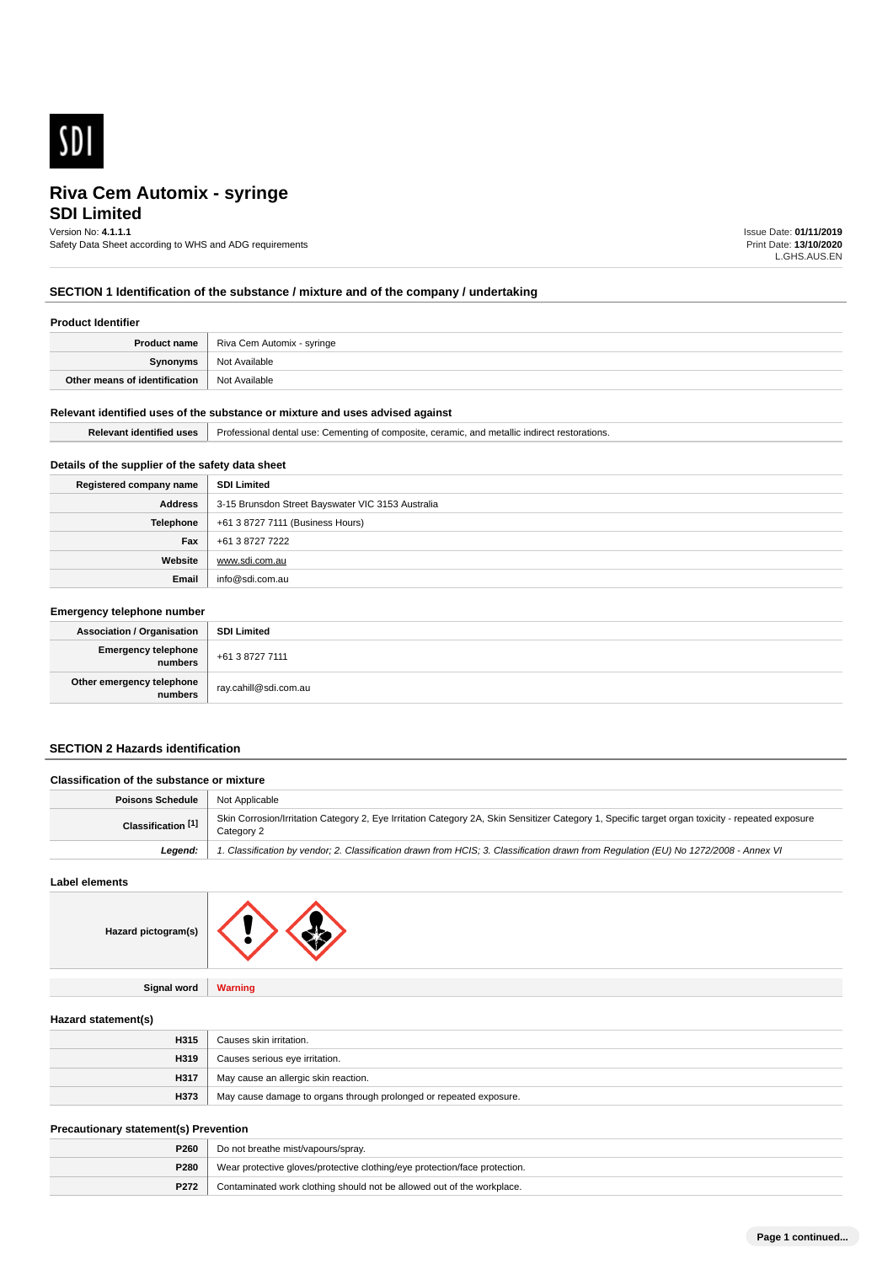

# **SDI Limited Riva Cem Automix - syringe**

# Version No: **4.1.1.1**

Safety Data Sheet according to WHS and ADG requirements

Issue Date: **01/11/2019** Print Date: **13/10/2020** L.GHS.AUS.EN

# **SECTION 1 Identification of the substance / mixture and of the company / undertaking**

### **Product Identifier**

| Product name                  | Riva Cem Automix - syringe |
|-------------------------------|----------------------------|
| Synonyms                      | Not Available              |
| Other means of identification | Not Available              |

#### **Relevant identified uses of the substance or mixture and uses advised against**

| Relev:<br>uses<br><b>IGANTIFIA</b> | ceramic.<br>. and<br>of composite.<br>∴ementina of<br>Professional<br>dental use:<br>metallic<br>estorations. |
|------------------------------------|---------------------------------------------------------------------------------------------------------------|
|                                    |                                                                                                               |

# **Details of the supplier of the safety data sheet**

| Registered company name | <b>SDI Limited</b>                                |
|-------------------------|---------------------------------------------------|
| Address                 | 3-15 Brunsdon Street Bayswater VIC 3153 Australia |
| <b>Telephone</b>        | +61 3 8727 7111 (Business Hours)                  |
| Fax                     | +61 3 8727 7222                                   |
| Website                 | www.sdi.com.au                                    |
| Email                   | info@sdi.com.au                                   |

| <b>Emergency telephone number</b>      |                       |
|----------------------------------------|-----------------------|
| <b>Association / Organisation</b>      | <b>SDI Limited</b>    |
| Emergency telephone<br>numbers         | +61 3 8727 7111       |
| Other emergency telephone<br>  numbers | ray.cahill@sdi.com.au |

# **SECTION 2 Hazards identification**

| <b>Classification of the substance or mixture</b> |                                                                                                                                                                |
|---------------------------------------------------|----------------------------------------------------------------------------------------------------------------------------------------------------------------|
| <b>Poisons Schedule</b>                           | Not Applicable                                                                                                                                                 |
| Classification <sup>[1]</sup>                     | Skin Corrosion/Irritation Category 2, Eye Irritation Category 2A, Skin Sensitizer Category 1, Specific target organ toxicity - repeated exposure<br>Category 2 |
| Leaend:                                           | 1. Classification by vendor; 2. Classification drawn from HCIS; 3. Classification drawn from Requlation (EU) No 1272/2008 - Annex VI                           |
|                                                   |                                                                                                                                                                |

**Label elements**



**Signal word Warning**

### **Hazard statement(s)**

| H315 | Causes skin irritation.                                            |
|------|--------------------------------------------------------------------|
| H319 | Causes serious eye irritation.                                     |
| H317 | May cause an allergic skin reaction.                               |
| H373 | May cause damage to organs through prolonged or repeated exposure. |

#### **Precautionary statement(s) Prevention**

| <b>P260</b> | Do not breathe mist/vapours/spray.                                         |
|-------------|----------------------------------------------------------------------------|
| P280        | Wear protective gloves/protective clothing/eye protection/face protection. |
| P272        | Contaminated work clothing should not be allowed out of the workplace.     |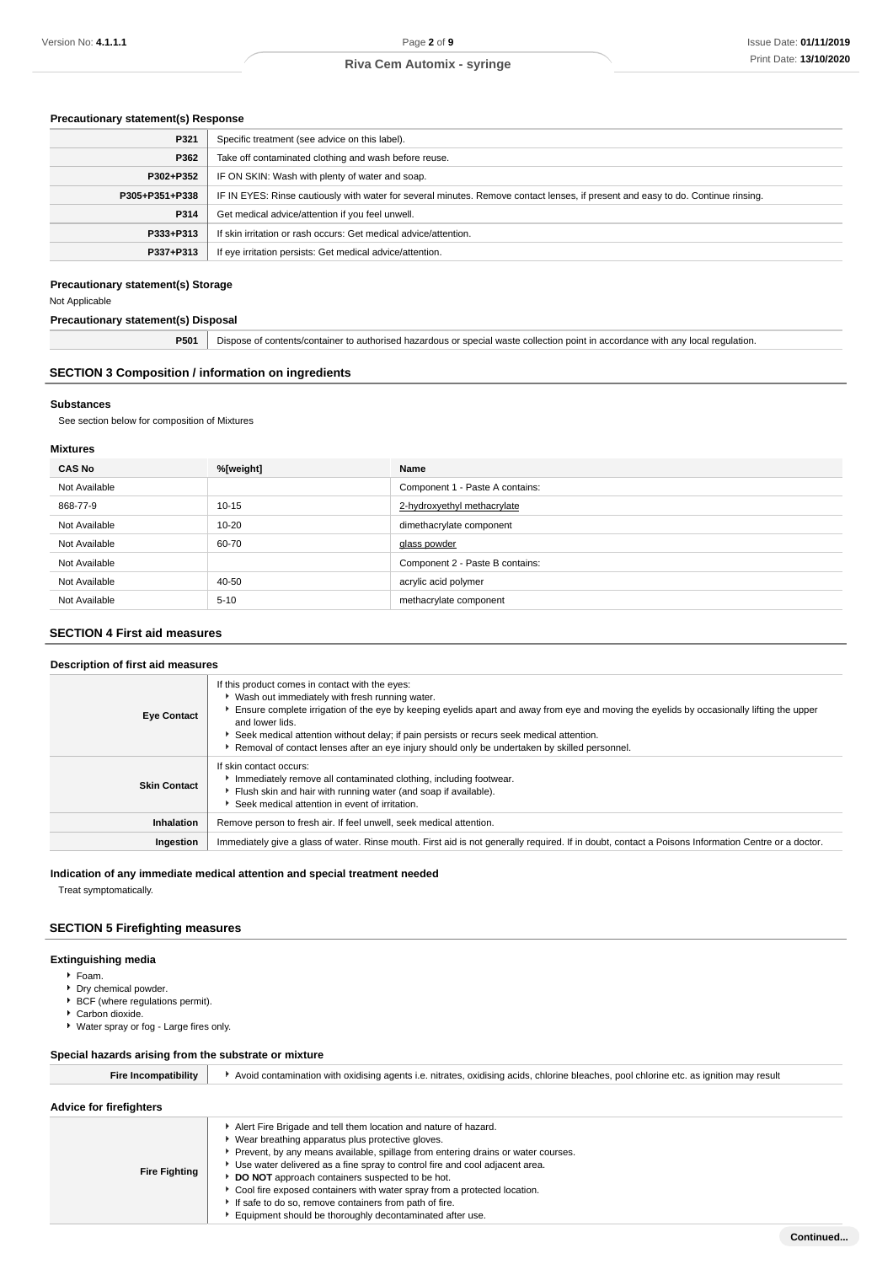# **Precautionary statement(s) Response**

| P321           | Specific treatment (see advice on this label).                                                                                   |  |
|----------------|----------------------------------------------------------------------------------------------------------------------------------|--|
| P362           | Take off contaminated clothing and wash before reuse.                                                                            |  |
| P302+P352      | IF ON SKIN: Wash with plenty of water and soap.                                                                                  |  |
| P305+P351+P338 | IF IN EYES: Rinse cautiously with water for several minutes. Remove contact lenses, if present and easy to do. Continue rinsing. |  |
| P314           | Get medical advice/attention if you feel unwell.                                                                                 |  |
| P333+P313      | If skin irritation or rash occurs: Get medical advice/attention.                                                                 |  |
| P337+P313      | If eye irritation persists: Get medical advice/attention.                                                                        |  |

### **Precautionary statement(s) Storage**

Not Applicable

# **Precautionary statement(s) Disposal**

**P501** Dispose of contents/container to authorised hazardous or special waste collection point in accordance with any local regulation.

# **SECTION 3 Composition / information on ingredients**

## **Substances**

See section below for composition of Mixtures

### **Mixtures**

| <b>CAS No</b> | %[weight] | Name                            |
|---------------|-----------|---------------------------------|
| Not Available |           | Component 1 - Paste A contains: |
| 868-77-9      | $10 - 15$ | 2-hydroxyethyl methacrylate     |
| Not Available | $10 - 20$ | dimethacrylate component        |
| Not Available | 60-70     | glass powder                    |
| Not Available |           | Component 2 - Paste B contains: |
| Not Available | 40-50     | acrylic acid polymer            |
| Not Available | $5 - 10$  | methacrylate component          |

# **SECTION 4 First aid measures**

# **Description of first aid measures**

| <b>Eye Contact</b>  | If this product comes in contact with the eyes:<br>• Wash out immediately with fresh running water.<br>Ensure complete irrigation of the eye by keeping eyelids apart and away from eye and moving the eyelids by occasionally lifting the upper<br>and lower lids.<br>Seek medical attention without delay; if pain persists or recurs seek medical attention.<br>► Removal of contact lenses after an eye injury should only be undertaken by skilled personnel. |
|---------------------|--------------------------------------------------------------------------------------------------------------------------------------------------------------------------------------------------------------------------------------------------------------------------------------------------------------------------------------------------------------------------------------------------------------------------------------------------------------------|
| <b>Skin Contact</b> | If skin contact occurs:<br>Inmediately remove all contaminated clothing, including footwear.<br>Flush skin and hair with running water (and soap if available).<br>Seek medical attention in event of irritation.                                                                                                                                                                                                                                                  |
| Inhalation          | Remove person to fresh air. If feel unwell, seek medical attention.                                                                                                                                                                                                                                                                                                                                                                                                |
| Ingestion           | Immediately give a glass of water. Rinse mouth. First aid is not generally required. If in doubt, contact a Poisons Information Centre or a doctor.                                                                                                                                                                                                                                                                                                                |

### **Indication of any immediate medical attention and special treatment needed**

Treat symptomatically.

# **SECTION 5 Firefighting measures**

# **Extinguishing media**

- Foam.
- **Dry chemical powder.**
- **BCF** (where regulations permit).
- Carbon dioxide.
- Water spray or fog Large fires only.

### **Special hazards arising from the substrate or mixture**

| <b>Fire Incompatibility</b>    | Avoid contamination with oxidising agents i.e. nitrates, oxidising acids, chlorine bleaches, pool chlorine etc. as ignition may result                                                                                                                                                                                                                                                                                                                                                                                                          |
|--------------------------------|-------------------------------------------------------------------------------------------------------------------------------------------------------------------------------------------------------------------------------------------------------------------------------------------------------------------------------------------------------------------------------------------------------------------------------------------------------------------------------------------------------------------------------------------------|
| <b>Advice for firefighters</b> |                                                                                                                                                                                                                                                                                                                                                                                                                                                                                                                                                 |
| <b>Fire Fighting</b>           | Alert Fire Brigade and tell them location and nature of hazard.<br>Wear breathing apparatus plus protective gloves.<br>Prevent, by any means available, spillage from entering drains or water courses.<br>► Use water delivered as a fine spray to control fire and cool adjacent area.<br>DO NOT approach containers suspected to be hot.<br>► Cool fire exposed containers with water spray from a protected location.<br>If safe to do so, remove containers from path of fire.<br>Equipment should be thoroughly decontaminated after use. |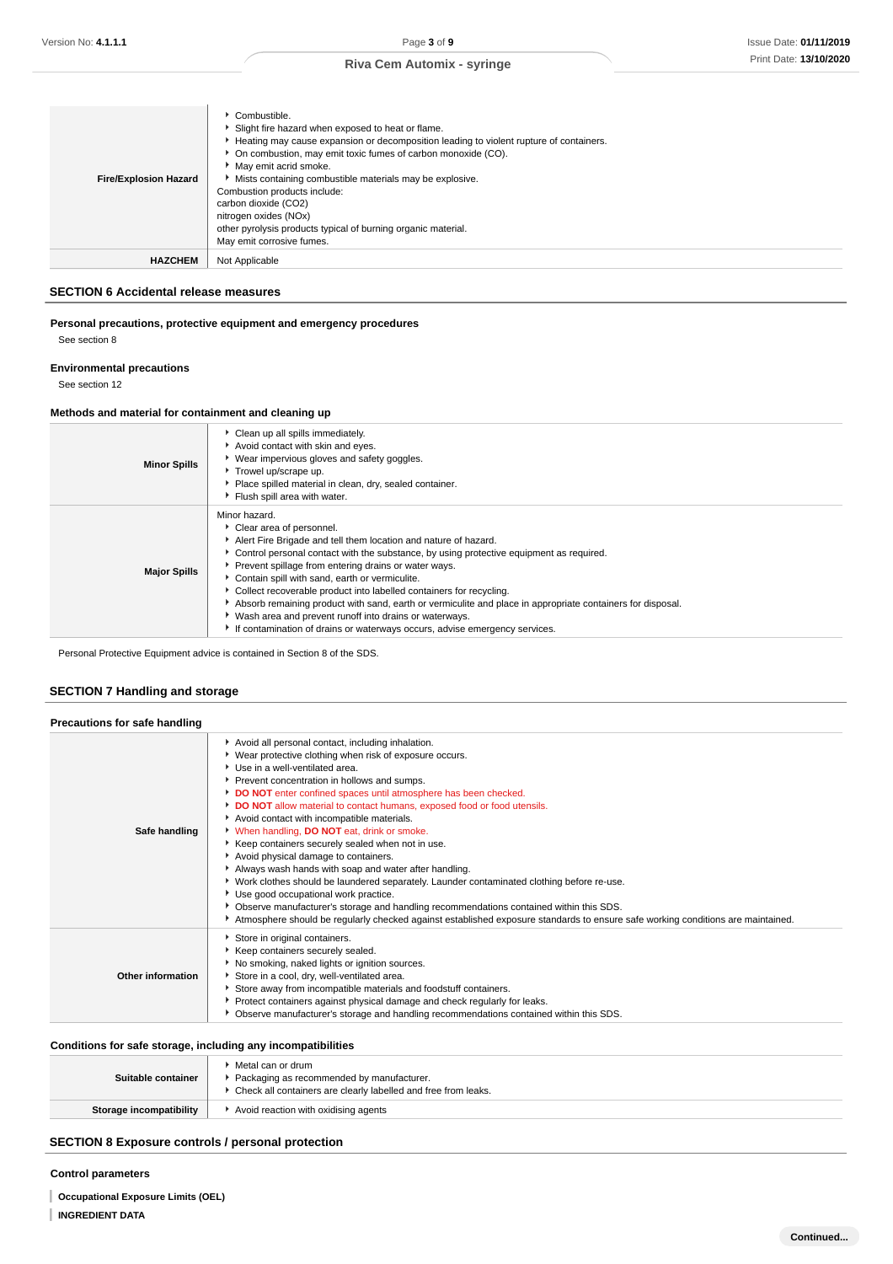| <b>Fire/Explosion Hazard</b> | Combustible.<br>Slight fire hazard when exposed to heat or flame.<br>► Heating may cause expansion or decomposition leading to violent rupture of containers.<br>• On combustion, may emit toxic fumes of carbon monoxide (CO).<br>May emit acrid smoke.<br>Mists containing combustible materials may be explosive.<br>Combustion products include:<br>carbon dioxide (CO2)<br>nitrogen oxides (NOx)<br>other pyrolysis products typical of burning organic material.<br>May emit corrosive fumes. |
|------------------------------|-----------------------------------------------------------------------------------------------------------------------------------------------------------------------------------------------------------------------------------------------------------------------------------------------------------------------------------------------------------------------------------------------------------------------------------------------------------------------------------------------------|
| <b>HAZCHEM</b>               | Not Applicable                                                                                                                                                                                                                                                                                                                                                                                                                                                                                      |

# **SECTION 6 Accidental release measures**

# **Personal precautions, protective equipment and emergency procedures** See section 8

# **Environmental precautions**

See section 12

# **Methods and material for containment and cleaning up**

| <b>Minor Spills</b> | Clean up all spills immediately.<br>Avoid contact with skin and eyes.<br>▶ Wear impervious gloves and safety goggles.<br>Trowel up/scrape up.<br>Place spilled material in clean, dry, sealed container.<br>Flush spill area with water.                                                                                                                                                                                                                                                                                                                                                                                                             |
|---------------------|------------------------------------------------------------------------------------------------------------------------------------------------------------------------------------------------------------------------------------------------------------------------------------------------------------------------------------------------------------------------------------------------------------------------------------------------------------------------------------------------------------------------------------------------------------------------------------------------------------------------------------------------------|
| <b>Major Spills</b> | Minor hazard.<br>Clear area of personnel.<br>Alert Fire Brigade and tell them location and nature of hazard.<br>• Control personal contact with the substance, by using protective equipment as required.<br>Prevent spillage from entering drains or water ways.<br>Contain spill with sand, earth or vermiculite.<br>• Collect recoverable product into labelled containers for recycling.<br>Absorb remaining product with sand, earth or vermiculite and place in appropriate containers for disposal.<br>• Wash area and prevent runoff into drains or waterways.<br>If contamination of drains or waterways occurs, advise emergency services. |

Personal Protective Equipment advice is contained in Section 8 of the SDS.

# **SECTION 7 Handling and storage**

**Precautions for safe handling**

| Precautions for safe nandling |                                                                                                                                                                                                                                                                                                                                                                                                                                                                                                                                                                                                                                                                                                                                                                                                                                                                                                                                                                              |
|-------------------------------|------------------------------------------------------------------------------------------------------------------------------------------------------------------------------------------------------------------------------------------------------------------------------------------------------------------------------------------------------------------------------------------------------------------------------------------------------------------------------------------------------------------------------------------------------------------------------------------------------------------------------------------------------------------------------------------------------------------------------------------------------------------------------------------------------------------------------------------------------------------------------------------------------------------------------------------------------------------------------|
| Safe handling                 | Avoid all personal contact, including inhalation.<br>▶ Wear protective clothing when risk of exposure occurs.<br>Use in a well-ventilated area.<br>Prevent concentration in hollows and sumps.<br>DO NOT enter confined spaces until atmosphere has been checked.<br>DO NOT allow material to contact humans, exposed food or food utensils.<br>Avoid contact with incompatible materials.<br>When handling, <b>DO NOT</b> eat, drink or smoke.<br>▶ Keep containers securely sealed when not in use.<br>Avoid physical damage to containers.<br>Always wash hands with soap and water after handling.<br>▶ Work clothes should be laundered separately. Launder contaminated clothing before re-use.<br>Use good occupational work practice.<br>▶ Observe manufacturer's storage and handling recommendations contained within this SDS.<br>Atmosphere should be regularly checked against established exposure standards to ensure safe working conditions are maintained. |
| Other information             | Store in original containers.<br>Keep containers securely sealed.<br>No smoking, naked lights or ignition sources.<br>Store in a cool, dry, well-ventilated area.<br>Store away from incompatible materials and foodstuff containers.<br>▶ Protect containers against physical damage and check regularly for leaks.<br>▶ Observe manufacturer's storage and handling recommendations contained within this SDS.                                                                                                                                                                                                                                                                                                                                                                                                                                                                                                                                                             |

# **Conditions for safe storage, including any incompatibilities**

| Suitable container      | Metal can or drum<br>Packaging as recommended by manufacturer.<br>▶ Check all containers are clearly labelled and free from leaks. |
|-------------------------|------------------------------------------------------------------------------------------------------------------------------------|
| Storage incompatibility | Avoid reaction with oxidising agents                                                                                               |

# **SECTION 8 Exposure controls / personal protection**

**Control parameters**

- **Occupational Exposure Limits (OEL)**
- **INGREDIENT DATA**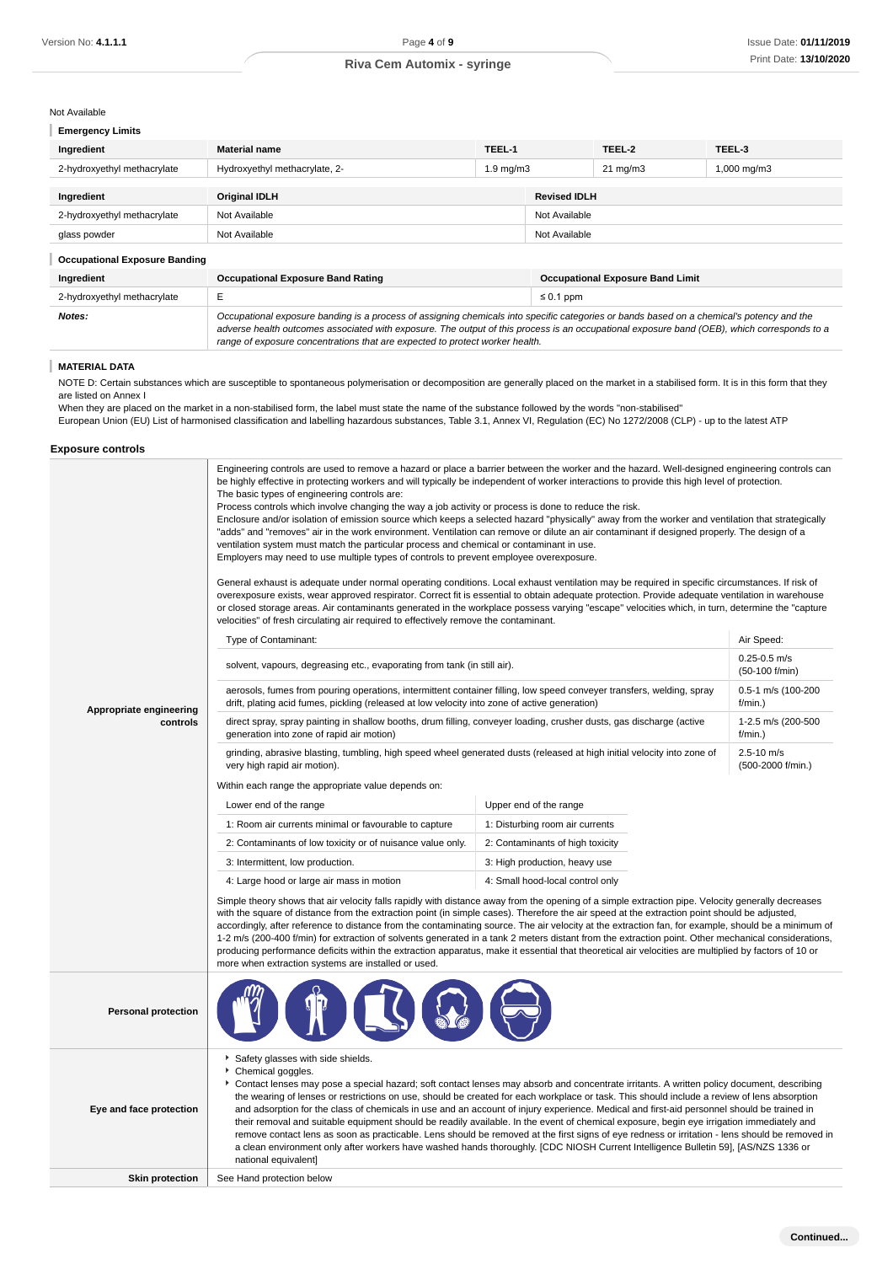Not Available

| <b>Emergency Limits</b> |  |
|-------------------------|--|
|                         |  |

| Ingredient                           | <b>Material name</b>                                                                                                                                                                                                                                                                                                                                                     | TEEL-1             |                                         | TEEL-2            | TEEL-3           |
|--------------------------------------|--------------------------------------------------------------------------------------------------------------------------------------------------------------------------------------------------------------------------------------------------------------------------------------------------------------------------------------------------------------------------|--------------------|-----------------------------------------|-------------------|------------------|
| 2-hydroxyethyl methacrylate          | Hydroxyethyl methacrylate, 2-                                                                                                                                                                                                                                                                                                                                            | $1.9 \text{ mg/m}$ |                                         | $21 \text{ mg/m}$ | $1,000$ mg/m $3$ |
|                                      |                                                                                                                                                                                                                                                                                                                                                                          |                    |                                         |                   |                  |
| Ingredient                           | <b>Original IDLH</b>                                                                                                                                                                                                                                                                                                                                                     |                    | <b>Revised IDLH</b>                     |                   |                  |
| 2-hydroxyethyl methacrylate          | Not Available                                                                                                                                                                                                                                                                                                                                                            |                    | Not Available                           |                   |                  |
| glass powder                         | Not Available                                                                                                                                                                                                                                                                                                                                                            |                    | Not Available                           |                   |                  |
| <b>Occupational Exposure Banding</b> |                                                                                                                                                                                                                                                                                                                                                                          |                    |                                         |                   |                  |
| Ingredient                           | <b>Occupational Exposure Band Rating</b>                                                                                                                                                                                                                                                                                                                                 |                    | <b>Occupational Exposure Band Limit</b> |                   |                  |
| 2-hydroxyethyl methacrylate          | E                                                                                                                                                                                                                                                                                                                                                                        |                    | $\leq 0.1$ ppm                          |                   |                  |
| Notes:                               | Occupational exposure banding is a process of assigning chemicals into specific categories or bands based on a chemical's potency and the<br>adverse health outcomes associated with exposure. The output of this process is an occupational exposure band (OEB), which corresponds to a<br>range of exposure concentrations that are expected to protect worker health. |                    |                                         |                   |                  |

#### I **MATERIAL DATA**

NOTE D: Certain substances which are susceptible to spontaneous polymerisation or decomposition are generally placed on the market in a stabilised form. It is in this form that they are listed on Annex I

When they are placed on the market in a non-stabilised form, the label must state the name of the substance followed by the words "non-stabilised" European Union (EU) List of harmonised classification and labelling hazardous substances, Table 3.1, Annex VI, Regulation (EC) No 1272/2008 (CLP) - up to the latest ATP

### **Exposure controls**

|                            | Engineering controls are used to remove a hazard or place a barrier between the worker and the hazard. Well-designed engineering controls can<br>be highly effective in protecting workers and will typically be independent of worker interactions to provide this high level of protection.<br>The basic types of engineering controls are:<br>Process controls which involve changing the way a job activity or process is done to reduce the risk.<br>Enclosure and/or isolation of emission source which keeps a selected hazard "physically" away from the worker and ventilation that strategically<br>"adds" and "removes" air in the work environment. Ventilation can remove or dilute an air contaminant if designed properly. The design of a<br>ventilation system must match the particular process and chemical or contaminant in use.<br>Employers may need to use multiple types of controls to prevent employee overexposure.<br>General exhaust is adequate under normal operating conditions. Local exhaust ventilation may be required in specific circumstances. If risk of<br>overexposure exists, wear approved respirator. Correct fit is essential to obtain adequate protection. Provide adequate ventilation in warehouse<br>or closed storage areas. Air contaminants generated in the workplace possess varying "escape" velocities which, in turn, determine the "capture<br>velocities" of fresh circulating air required to effectively remove the contaminant. |                                  |                                     |  |
|----------------------------|--------------------------------------------------------------------------------------------------------------------------------------------------------------------------------------------------------------------------------------------------------------------------------------------------------------------------------------------------------------------------------------------------------------------------------------------------------------------------------------------------------------------------------------------------------------------------------------------------------------------------------------------------------------------------------------------------------------------------------------------------------------------------------------------------------------------------------------------------------------------------------------------------------------------------------------------------------------------------------------------------------------------------------------------------------------------------------------------------------------------------------------------------------------------------------------------------------------------------------------------------------------------------------------------------------------------------------------------------------------------------------------------------------------------------------------------------------------------------------------------------|----------------------------------|-------------------------------------|--|
|                            | Type of Contaminant:                                                                                                                                                                                                                                                                                                                                                                                                                                                                                                                                                                                                                                                                                                                                                                                                                                                                                                                                                                                                                                                                                                                                                                                                                                                                                                                                                                                                                                                                             |                                  | Air Speed:                          |  |
|                            | solvent, vapours, degreasing etc., evaporating from tank (in still air).                                                                                                                                                                                                                                                                                                                                                                                                                                                                                                                                                                                                                                                                                                                                                                                                                                                                                                                                                                                                                                                                                                                                                                                                                                                                                                                                                                                                                         |                                  | $0.25 - 0.5$ m/s<br>(50-100 f/min)  |  |
| Appropriate engineering    | aerosols, fumes from pouring operations, intermittent container filling, low speed conveyer transfers, welding, spray<br>drift, plating acid fumes, pickling (released at low velocity into zone of active generation)                                                                                                                                                                                                                                                                                                                                                                                                                                                                                                                                                                                                                                                                                                                                                                                                                                                                                                                                                                                                                                                                                                                                                                                                                                                                           |                                  | 0.5-1 m/s (100-200<br>f/min.)       |  |
| controls                   | direct spray, spray painting in shallow booths, drum filling, conveyer loading, crusher dusts, gas discharge (active<br>generation into zone of rapid air motion)                                                                                                                                                                                                                                                                                                                                                                                                                                                                                                                                                                                                                                                                                                                                                                                                                                                                                                                                                                                                                                                                                                                                                                                                                                                                                                                                | 1-2.5 m/s (200-500<br>$f/min.$ ) |                                     |  |
|                            | grinding, abrasive blasting, tumbling, high speed wheel generated dusts (released at high initial velocity into zone of<br>very high rapid air motion).                                                                                                                                                                                                                                                                                                                                                                                                                                                                                                                                                                                                                                                                                                                                                                                                                                                                                                                                                                                                                                                                                                                                                                                                                                                                                                                                          |                                  | $2.5 - 10$ m/s<br>(500-2000 f/min.) |  |
|                            | Within each range the appropriate value depends on:                                                                                                                                                                                                                                                                                                                                                                                                                                                                                                                                                                                                                                                                                                                                                                                                                                                                                                                                                                                                                                                                                                                                                                                                                                                                                                                                                                                                                                              |                                  |                                     |  |
|                            | Lower end of the range                                                                                                                                                                                                                                                                                                                                                                                                                                                                                                                                                                                                                                                                                                                                                                                                                                                                                                                                                                                                                                                                                                                                                                                                                                                                                                                                                                                                                                                                           | Upper end of the range           |                                     |  |
|                            | 1: Room air currents minimal or favourable to capture                                                                                                                                                                                                                                                                                                                                                                                                                                                                                                                                                                                                                                                                                                                                                                                                                                                                                                                                                                                                                                                                                                                                                                                                                                                                                                                                                                                                                                            | 1: Disturbing room air currents  |                                     |  |
|                            | 2: Contaminants of low toxicity or of nuisance value only.                                                                                                                                                                                                                                                                                                                                                                                                                                                                                                                                                                                                                                                                                                                                                                                                                                                                                                                                                                                                                                                                                                                                                                                                                                                                                                                                                                                                                                       | 2: Contaminants of high toxicity |                                     |  |
|                            | 3: Intermittent, low production.                                                                                                                                                                                                                                                                                                                                                                                                                                                                                                                                                                                                                                                                                                                                                                                                                                                                                                                                                                                                                                                                                                                                                                                                                                                                                                                                                                                                                                                                 | 3: High production, heavy use    |                                     |  |
|                            | 4: Large hood or large air mass in motion                                                                                                                                                                                                                                                                                                                                                                                                                                                                                                                                                                                                                                                                                                                                                                                                                                                                                                                                                                                                                                                                                                                                                                                                                                                                                                                                                                                                                                                        | 4: Small hood-local control only |                                     |  |
|                            | Simple theory shows that air velocity falls rapidly with distance away from the opening of a simple extraction pipe. Velocity generally decreases<br>with the square of distance from the extraction point (in simple cases). Therefore the air speed at the extraction point should be adjusted,<br>accordingly, after reference to distance from the contaminating source. The air velocity at the extraction fan, for example, should be a minimum of<br>1-2 m/s (200-400 f/min) for extraction of solvents generated in a tank 2 meters distant from the extraction point. Other mechanical considerations,<br>producing performance deficits within the extraction apparatus, make it essential that theoretical air velocities are multiplied by factors of 10 or<br>more when extraction systems are installed or used.                                                                                                                                                                                                                                                                                                                                                                                                                                                                                                                                                                                                                                                                   |                                  |                                     |  |
| <b>Personal protection</b> |                                                                                                                                                                                                                                                                                                                                                                                                                                                                                                                                                                                                                                                                                                                                                                                                                                                                                                                                                                                                                                                                                                                                                                                                                                                                                                                                                                                                                                                                                                  |                                  |                                     |  |
| Eye and face protection    | Safety glasses with side shields.<br>Chemical goggles.<br>Contact lenses may pose a special hazard; soft contact lenses may absorb and concentrate irritants. A written policy document, describing<br>the wearing of lenses or restrictions on use, should be created for each workplace or task. This should include a review of lens absorption<br>and adsorption for the class of chemicals in use and an account of injury experience. Medical and first-aid personnel should be trained in<br>their removal and suitable equipment should be readily available. In the event of chemical exposure, begin eye irrigation immediately and<br>remove contact lens as soon as practicable. Lens should be removed at the first signs of eye redness or irritation - lens should be removed in<br>a clean environment only after workers have washed hands thoroughly. [CDC NIOSH Current Intelligence Bulletin 59], [AS/NZS 1336 or<br>national equivalent]                                                                                                                                                                                                                                                                                                                                                                                                                                                                                                                                    |                                  |                                     |  |
| <b>Skin protection</b>     | See Hand protection below                                                                                                                                                                                                                                                                                                                                                                                                                                                                                                                                                                                                                                                                                                                                                                                                                                                                                                                                                                                                                                                                                                                                                                                                                                                                                                                                                                                                                                                                        |                                  |                                     |  |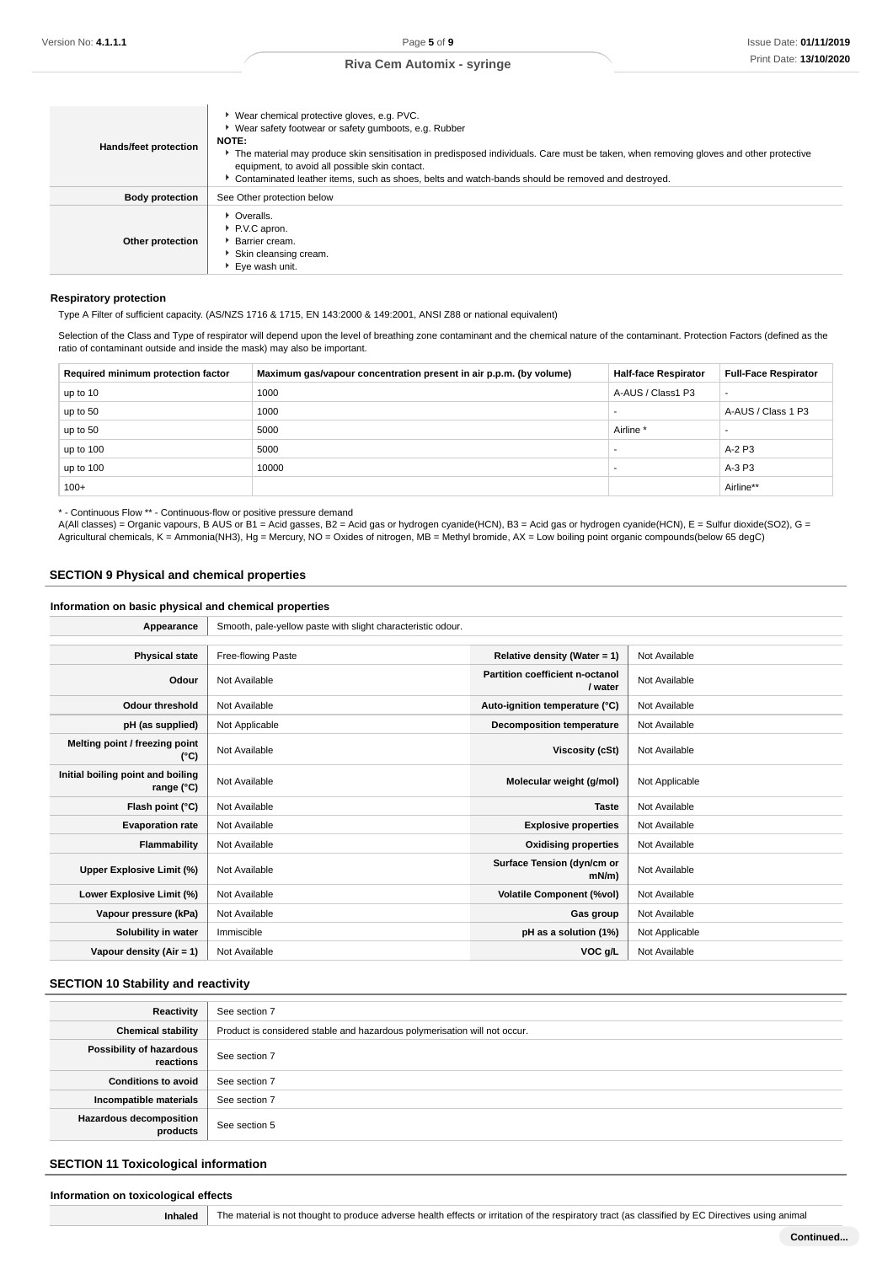| Hands/feet protection  | ▶ Wear chemical protective gloves, e.g. PVC.<br>▶ Wear safety footwear or safety gumboots, e.g. Rubber<br><b>NOTE:</b><br>The material may produce skin sensitisation in predisposed individuals. Care must be taken, when removing gloves and other protective<br>equipment, to avoid all possible skin contact.<br>Contaminated leather items, such as shoes, belts and watch-bands should be removed and destroyed. |  |
|------------------------|------------------------------------------------------------------------------------------------------------------------------------------------------------------------------------------------------------------------------------------------------------------------------------------------------------------------------------------------------------------------------------------------------------------------|--|
| <b>Body protection</b> | See Other protection below                                                                                                                                                                                                                                                                                                                                                                                             |  |
| Other protection       | • Overalls.<br>P.V.C apron.<br>▶ Barrier cream.<br>Skin cleansing cream.<br>▶ Eye wash unit.                                                                                                                                                                                                                                                                                                                           |  |

#### **Respiratory protection**

Type A Filter of sufficient capacity. (AS/NZS 1716 & 1715, EN 143:2000 & 149:2001, ANSI Z88 or national equivalent)

Selection of the Class and Type of respirator will depend upon the level of breathing zone contaminant and the chemical nature of the contaminant. Protection Factors (defined as the ratio of contaminant outside and inside the mask) may also be important.

| Required minimum protection factor | Maximum gas/vapour concentration present in air p.p.m. (by volume) | <b>Half-face Respirator</b> | <b>Full-Face Respirator</b> |
|------------------------------------|--------------------------------------------------------------------|-----------------------------|-----------------------------|
| up to 10                           | 1000                                                               | A-AUS / Class1 P3           | $\overline{\phantom{a}}$    |
| up to 50                           | 1000                                                               |                             | A-AUS / Class 1 P3          |
| up to 50                           | 5000                                                               | Airline <sup>*</sup>        |                             |
| up to 100                          | 5000                                                               |                             | A-2 P3                      |
| up to 100                          | 10000                                                              |                             | A-3 P3                      |
| $100+$                             |                                                                    |                             | Airline**                   |

\* - Continuous Flow \*\* - Continuous-flow or positive pressure demand

A(All classes) = Organic vapours, B AUS or B1 = Acid gasses, B2 = Acid gas or hydrogen cyanide(HCN), B3 = Acid gas or hydrogen cyanide(HCN), E = Sulfur dioxide(SO2), G = Agricultural chemicals, K = Ammonia(NH3), Hg = Mercury, NO = Oxides of nitrogen, MB = Methyl bromide, AX = Low boiling point organic compounds(below 65 degC)

# **SECTION 9 Physical and chemical properties**

### **Information on basic physical and chemical properties**

| Appearance                                      | Smooth, pale-yellow paste with slight characteristic odour. |                                            |                |
|-------------------------------------------------|-------------------------------------------------------------|--------------------------------------------|----------------|
|                                                 |                                                             |                                            |                |
| <b>Physical state</b>                           | Free-flowing Paste                                          | Relative density (Water = $1$ )            | Not Available  |
| Odour                                           | Not Available                                               | Partition coefficient n-octanol<br>/ water | Not Available  |
| <b>Odour threshold</b>                          | Not Available                                               | Auto-ignition temperature (°C)             | Not Available  |
| pH (as supplied)                                | Not Applicable                                              | <b>Decomposition temperature</b>           | Not Available  |
| Melting point / freezing point<br>(°C)          | Not Available                                               | Viscosity (cSt)                            | Not Available  |
| Initial boiling point and boiling<br>range (°C) | Not Available                                               | Molecular weight (g/mol)                   | Not Applicable |
| Flash point (°C)                                | Not Available                                               | <b>Taste</b>                               | Not Available  |
| <b>Evaporation rate</b>                         | Not Available                                               | <b>Explosive properties</b>                | Not Available  |
| Flammability                                    | Not Available                                               | <b>Oxidising properties</b>                | Not Available  |
| Upper Explosive Limit (%)                       | Not Available                                               | Surface Tension (dyn/cm or<br>$mN/m$ )     | Not Available  |
| Lower Explosive Limit (%)                       | Not Available                                               | <b>Volatile Component (%vol)</b>           | Not Available  |
| Vapour pressure (kPa)                           | Not Available                                               | Gas group                                  | Not Available  |
| Solubility in water                             | Immiscible                                                  | pH as a solution (1%)                      | Not Applicable |
| Vapour density (Air = 1)                        | Not Available                                               | VOC g/L                                    | Not Available  |

# **SECTION 10 Stability and reactivity**

| Reactivity                                 | See section 7                                                             |  |
|--------------------------------------------|---------------------------------------------------------------------------|--|
| <b>Chemical stability</b>                  | Product is considered stable and hazardous polymerisation will not occur. |  |
| Possibility of hazardous<br>reactions      | See section 7                                                             |  |
| <b>Conditions to avoid</b>                 | See section 7                                                             |  |
| Incompatible materials                     | See section 7                                                             |  |
| <b>Hazardous decomposition</b><br>products | See section 5                                                             |  |

# **SECTION 11 Toxicological information**

| Information on toxicological effects |                |                                                                                                                                                   |
|--------------------------------------|----------------|---------------------------------------------------------------------------------------------------------------------------------------------------|
|                                      | <b>Inhaled</b> | The material is not thought to produce adverse health effects or irritation of the respiratory tract (as classified by EC Directives using animal |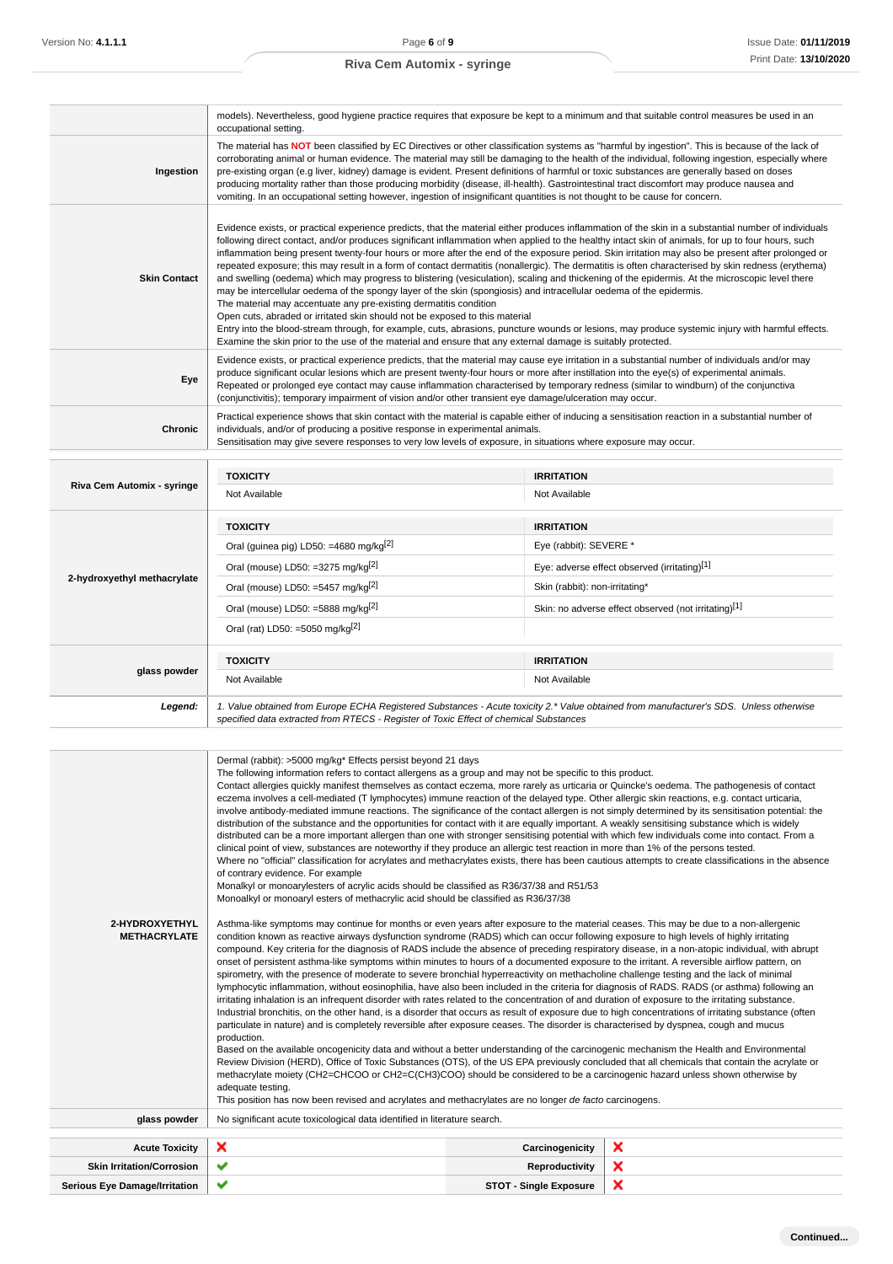|                             |                                                                                                                                                                                                                                                                                                                                                                                                                                                                                                                                                                                                                                                                                                                                                                                                                                                                                                                                                                                                                                                                                                                                                                                                                                                                                                                       | models). Nevertheless, good hygiene practice requires that exposure be kept to a minimum and that suitable control measures be used in an                                                                                                                                                                                                                                                                                                                                                                                                                                                                                                                                                                                                                                                                                                                                                                                                                                                                                                                                                                                                                                                |  |
|-----------------------------|-----------------------------------------------------------------------------------------------------------------------------------------------------------------------------------------------------------------------------------------------------------------------------------------------------------------------------------------------------------------------------------------------------------------------------------------------------------------------------------------------------------------------------------------------------------------------------------------------------------------------------------------------------------------------------------------------------------------------------------------------------------------------------------------------------------------------------------------------------------------------------------------------------------------------------------------------------------------------------------------------------------------------------------------------------------------------------------------------------------------------------------------------------------------------------------------------------------------------------------------------------------------------------------------------------------------------|------------------------------------------------------------------------------------------------------------------------------------------------------------------------------------------------------------------------------------------------------------------------------------------------------------------------------------------------------------------------------------------------------------------------------------------------------------------------------------------------------------------------------------------------------------------------------------------------------------------------------------------------------------------------------------------------------------------------------------------------------------------------------------------------------------------------------------------------------------------------------------------------------------------------------------------------------------------------------------------------------------------------------------------------------------------------------------------------------------------------------------------------------------------------------------------|--|
|                             | occupational setting.                                                                                                                                                                                                                                                                                                                                                                                                                                                                                                                                                                                                                                                                                                                                                                                                                                                                                                                                                                                                                                                                                                                                                                                                                                                                                                 |                                                                                                                                                                                                                                                                                                                                                                                                                                                                                                                                                                                                                                                                                                                                                                                                                                                                                                                                                                                                                                                                                                                                                                                          |  |
| Ingestion                   | The material has NOT been classified by EC Directives or other classification systems as "harmful by ingestion". This is because of the lack of<br>corroborating animal or human evidence. The material may still be damaging to the health of the individual, following ingestion, especially where<br>pre-existing organ (e.g liver, kidney) damage is evident. Present definitions of harmful or toxic substances are generally based on doses<br>producing mortality rather than those producing morbidity (disease, ill-health). Gastrointestinal tract discomfort may produce nausea and<br>vomiting. In an occupational setting however, ingestion of insignificant quantities is not thought to be cause for concern.                                                                                                                                                                                                                                                                                                                                                                                                                                                                                                                                                                                         |                                                                                                                                                                                                                                                                                                                                                                                                                                                                                                                                                                                                                                                                                                                                                                                                                                                                                                                                                                                                                                                                                                                                                                                          |  |
| <b>Skin Contact</b>         | Evidence exists, or practical experience predicts, that the material either produces inflammation of the skin in a substantial number of individuals<br>following direct contact, and/or produces significant inflammation when applied to the healthy intact skin of animals, for up to four hours, such<br>inflammation being present twenty-four hours or more after the end of the exposure period. Skin irritation may also be present after prolonged or<br>repeated exposure; this may result in a form of contact dermatitis (nonallergic). The dermatitis is often characterised by skin redness (erythema)<br>and swelling (oedema) which may progress to blistering (vesiculation), scaling and thickening of the epidermis. At the microscopic level there<br>may be intercellular oedema of the spongy layer of the skin (spongiosis) and intracellular oedema of the epidermis.<br>The material may accentuate any pre-existing dermatitis condition<br>Open cuts, abraded or irritated skin should not be exposed to this material<br>Entry into the blood-stream through, for example, cuts, abrasions, puncture wounds or lesions, may produce systemic injury with harmful effects.<br>Examine the skin prior to the use of the material and ensure that any external damage is suitably protected. |                                                                                                                                                                                                                                                                                                                                                                                                                                                                                                                                                                                                                                                                                                                                                                                                                                                                                                                                                                                                                                                                                                                                                                                          |  |
| Eye                         | Evidence exists, or practical experience predicts, that the material may cause eye irritation in a substantial number of individuals and/or may<br>produce significant ocular lesions which are present twenty-four hours or more after instillation into the eye(s) of experimental animals.<br>Repeated or prolonged eye contact may cause inflammation characterised by temporary redness (similar to windburn) of the conjunctiva<br>(conjunctivitis); temporary impairment of vision and/or other transient eye damage/ulceration may occur.                                                                                                                                                                                                                                                                                                                                                                                                                                                                                                                                                                                                                                                                                                                                                                     |                                                                                                                                                                                                                                                                                                                                                                                                                                                                                                                                                                                                                                                                                                                                                                                                                                                                                                                                                                                                                                                                                                                                                                                          |  |
| Chronic                     | Practical experience shows that skin contact with the material is capable either of inducing a sensitisation reaction in a substantial number of<br>individuals, and/or of producing a positive response in experimental animals.<br>Sensitisation may give severe responses to very low levels of exposure, in situations where exposure may occur.                                                                                                                                                                                                                                                                                                                                                                                                                                                                                                                                                                                                                                                                                                                                                                                                                                                                                                                                                                  |                                                                                                                                                                                                                                                                                                                                                                                                                                                                                                                                                                                                                                                                                                                                                                                                                                                                                                                                                                                                                                                                                                                                                                                          |  |
|                             |                                                                                                                                                                                                                                                                                                                                                                                                                                                                                                                                                                                                                                                                                                                                                                                                                                                                                                                                                                                                                                                                                                                                                                                                                                                                                                                       |                                                                                                                                                                                                                                                                                                                                                                                                                                                                                                                                                                                                                                                                                                                                                                                                                                                                                                                                                                                                                                                                                                                                                                                          |  |
| Riva Cem Automix - syringe  | <b>TOXICITY</b><br>Not Available                                                                                                                                                                                                                                                                                                                                                                                                                                                                                                                                                                                                                                                                                                                                                                                                                                                                                                                                                                                                                                                                                                                                                                                                                                                                                      | <b>IRRITATION</b><br>Not Available                                                                                                                                                                                                                                                                                                                                                                                                                                                                                                                                                                                                                                                                                                                                                                                                                                                                                                                                                                                                                                                                                                                                                       |  |
|                             |                                                                                                                                                                                                                                                                                                                                                                                                                                                                                                                                                                                                                                                                                                                                                                                                                                                                                                                                                                                                                                                                                                                                                                                                                                                                                                                       |                                                                                                                                                                                                                                                                                                                                                                                                                                                                                                                                                                                                                                                                                                                                                                                                                                                                                                                                                                                                                                                                                                                                                                                          |  |
|                             | <b>TOXICITY</b>                                                                                                                                                                                                                                                                                                                                                                                                                                                                                                                                                                                                                                                                                                                                                                                                                                                                                                                                                                                                                                                                                                                                                                                                                                                                                                       | <b>IRRITATION</b>                                                                                                                                                                                                                                                                                                                                                                                                                                                                                                                                                                                                                                                                                                                                                                                                                                                                                                                                                                                                                                                                                                                                                                        |  |
|                             | Oral (guinea pig) LD50: =4680 mg/kg <sup>[2]</sup>                                                                                                                                                                                                                                                                                                                                                                                                                                                                                                                                                                                                                                                                                                                                                                                                                                                                                                                                                                                                                                                                                                                                                                                                                                                                    | Eye (rabbit): SEVERE *                                                                                                                                                                                                                                                                                                                                                                                                                                                                                                                                                                                                                                                                                                                                                                                                                                                                                                                                                                                                                                                                                                                                                                   |  |
| 2-hydroxyethyl methacrylate | Oral (mouse) LD50: =3275 mg/kg <sup>[2]</sup>                                                                                                                                                                                                                                                                                                                                                                                                                                                                                                                                                                                                                                                                                                                                                                                                                                                                                                                                                                                                                                                                                                                                                                                                                                                                         | Eye: adverse effect observed (irritating)[1]                                                                                                                                                                                                                                                                                                                                                                                                                                                                                                                                                                                                                                                                                                                                                                                                                                                                                                                                                                                                                                                                                                                                             |  |
|                             | Oral (mouse) LD50: =5457 mg/kg $^{2}$                                                                                                                                                                                                                                                                                                                                                                                                                                                                                                                                                                                                                                                                                                                                                                                                                                                                                                                                                                                                                                                                                                                                                                                                                                                                                 | Skin (rabbit): non-irritating*                                                                                                                                                                                                                                                                                                                                                                                                                                                                                                                                                                                                                                                                                                                                                                                                                                                                                                                                                                                                                                                                                                                                                           |  |
|                             | Oral (mouse) LD50: =5888 mg/kg $^{[2]}$                                                                                                                                                                                                                                                                                                                                                                                                                                                                                                                                                                                                                                                                                                                                                                                                                                                                                                                                                                                                                                                                                                                                                                                                                                                                               | Skin: no adverse effect observed (not irritating)[1]                                                                                                                                                                                                                                                                                                                                                                                                                                                                                                                                                                                                                                                                                                                                                                                                                                                                                                                                                                                                                                                                                                                                     |  |
|                             | Oral (rat) LD50: =5050 mg/kg $^{[2]}$                                                                                                                                                                                                                                                                                                                                                                                                                                                                                                                                                                                                                                                                                                                                                                                                                                                                                                                                                                                                                                                                                                                                                                                                                                                                                 |                                                                                                                                                                                                                                                                                                                                                                                                                                                                                                                                                                                                                                                                                                                                                                                                                                                                                                                                                                                                                                                                                                                                                                                          |  |
|                             | <b>TOXICITY</b>                                                                                                                                                                                                                                                                                                                                                                                                                                                                                                                                                                                                                                                                                                                                                                                                                                                                                                                                                                                                                                                                                                                                                                                                                                                                                                       | <b>IRRITATION</b>                                                                                                                                                                                                                                                                                                                                                                                                                                                                                                                                                                                                                                                                                                                                                                                                                                                                                                                                                                                                                                                                                                                                                                        |  |
| glass powder                | Not Available                                                                                                                                                                                                                                                                                                                                                                                                                                                                                                                                                                                                                                                                                                                                                                                                                                                                                                                                                                                                                                                                                                                                                                                                                                                                                                         | Not Available                                                                                                                                                                                                                                                                                                                                                                                                                                                                                                                                                                                                                                                                                                                                                                                                                                                                                                                                                                                                                                                                                                                                                                            |  |
| Legend:                     | specified data extracted from RTECS - Register of Toxic Effect of chemical Substances                                                                                                                                                                                                                                                                                                                                                                                                                                                                                                                                                                                                                                                                                                                                                                                                                                                                                                                                                                                                                                                                                                                                                                                                                                 | 1. Value obtained from Europe ECHA Registered Substances - Acute toxicity 2.* Value obtained from manufacturer's SDS. Unless otherwise                                                                                                                                                                                                                                                                                                                                                                                                                                                                                                                                                                                                                                                                                                                                                                                                                                                                                                                                                                                                                                                   |  |
|                             |                                                                                                                                                                                                                                                                                                                                                                                                                                                                                                                                                                                                                                                                                                                                                                                                                                                                                                                                                                                                                                                                                                                                                                                                                                                                                                                       |                                                                                                                                                                                                                                                                                                                                                                                                                                                                                                                                                                                                                                                                                                                                                                                                                                                                                                                                                                                                                                                                                                                                                                                          |  |
| 2-HYDROXYETHYL              | Dermal (rabbit): >5000 mg/kg* Effects persist beyond 21 days<br>The following information refers to contact allergens as a group and may not be specific to this product.<br>of contrary evidence. For example<br>Monalkyl or monoarylesters of acrylic acids should be classified as R36/37/38 and R51/53<br>Monoalkyl or monoaryl esters of methacrylic acid should be classified as R36/37/38                                                                                                                                                                                                                                                                                                                                                                                                                                                                                                                                                                                                                                                                                                                                                                                                                                                                                                                      | Contact allergies quickly manifest themselves as contact eczema, more rarely as urticaria or Quincke's oedema. The pathogenesis of contact<br>eczema involves a cell-mediated (T lymphocytes) immune reaction of the delayed type. Other allergic skin reactions, e.g. contact urticaria,<br>involve antibody-mediated immune reactions. The significance of the contact allergen is not simply determined by its sensitisation potential: the<br>distribution of the substance and the opportunities for contact with it are equally important. A weakly sensitising substance which is widely<br>distributed can be a more important allergen than one with stronger sensitising potential with which few individuals come into contact. From a<br>clinical point of view, substances are noteworthy if they produce an allergic test reaction in more than 1% of the persons tested.<br>Where no "official" classification for acrylates and methacrylates exists, there has been cautious attempts to create classifications in the absence<br>Asthma-like symptoms may continue for months or even years after exposure to the material ceases. This may be due to a non-allergenic |  |
| METHACRYLATE                | condition known as reactive airways dysfunction syndrome (RADS) which can occur following exposure to high levels of highly irritating<br>compound Key criteria for the diagnosis of RADS include the absence of preceding respiratory disease in a non-atopic individual with abrupt                                                                                                                                                                                                                                                                                                                                                                                                                                                                                                                                                                                                                                                                                                                                                                                                                                                                                                                                                                                                                                 |                                                                                                                                                                                                                                                                                                                                                                                                                                                                                                                                                                                                                                                                                                                                                                                                                                                                                                                                                                                                                                                                                                                                                                                          |  |

| -----------------<br><b>METHACRYLATE</b> | Administrative dynapolities may commute for months or even years and exposure to the material ecases. This may be due to a non-allergenc<br>condition known as reactive airways dysfunction syndrome (RADS) which can occur following exposure to high levels of highly irritating<br>compound. Key criteria for the diagnosis of RADS include the absence of preceding respiratory disease, in a non-atopic individual, with abrupt<br>onset of persistent asthma-like symptoms within minutes to hours of a documented exposure to the irritant. A reversible airflow pattern, on<br>spirometry, with the presence of moderate to severe bronchial hyperreactivity on methacholine challenge testing and the lack of minimal<br>lymphocytic inflammation, without eosinophilia, have also been included in the criteria for diagnosis of RADS. RADS (or asthma) following an<br>irritating inhalation is an infrequent disorder with rates related to the concentration of and duration of exposure to the irritating substance.<br>Industrial bronchitis, on the other hand, is a disorder that occurs as result of exposure due to high concentrations of irritating substance (often<br>particulate in nature) and is completely reversible after exposure ceases. The disorder is characterised by dyspnea, cough and mucus<br>production.<br>Based on the available oncogenicity data and without a better understanding of the carcinogenic mechanism the Health and Environmental<br>Review Division (HERD), Office of Toxic Substances (OTS), of the US EPA previously concluded that all chemicals that contain the acrylate or<br>methacrylate moiety (CH2=CHCOO or CH2=C(CH3)COO) should be considered to be a carcinogenic hazard unless shown otherwise by<br>adequate testing.<br>This position has now been revised and acrylates and methacrylates are no longer de facto carcinogens. |  |  |  |
|------------------------------------------|----------------------------------------------------------------------------------------------------------------------------------------------------------------------------------------------------------------------------------------------------------------------------------------------------------------------------------------------------------------------------------------------------------------------------------------------------------------------------------------------------------------------------------------------------------------------------------------------------------------------------------------------------------------------------------------------------------------------------------------------------------------------------------------------------------------------------------------------------------------------------------------------------------------------------------------------------------------------------------------------------------------------------------------------------------------------------------------------------------------------------------------------------------------------------------------------------------------------------------------------------------------------------------------------------------------------------------------------------------------------------------------------------------------------------------------------------------------------------------------------------------------------------------------------------------------------------------------------------------------------------------------------------------------------------------------------------------------------------------------------------------------------------------------------------------------------------------------------------------------------------------------------------------|--|--|--|
| glass powder                             | No significant acute toxicological data identified in literature search.                                                                                                                                                                                                                                                                                                                                                                                                                                                                                                                                                                                                                                                                                                                                                                                                                                                                                                                                                                                                                                                                                                                                                                                                                                                                                                                                                                                                                                                                                                                                                                                                                                                                                                                                                                                                                                 |  |  |  |
| <b>Acute Toxicity</b>                    | ×<br>×<br>Carcinogenicity                                                                                                                                                                                                                                                                                                                                                                                                                                                                                                                                                                                                                                                                                                                                                                                                                                                                                                                                                                                                                                                                                                                                                                                                                                                                                                                                                                                                                                                                                                                                                                                                                                                                                                                                                                                                                                                                                |  |  |  |
| <b>Skin Irritation/Corrosion</b>         | ×<br>✔<br>Reproductivity                                                                                                                                                                                                                                                                                                                                                                                                                                                                                                                                                                                                                                                                                                                                                                                                                                                                                                                                                                                                                                                                                                                                                                                                                                                                                                                                                                                                                                                                                                                                                                                                                                                                                                                                                                                                                                                                                 |  |  |  |
| <b>Serious Eye Damage/Irritation</b>     | ×<br>✔<br><b>STOT - Single Exposure</b>                                                                                                                                                                                                                                                                                                                                                                                                                                                                                                                                                                                                                                                                                                                                                                                                                                                                                                                                                                                                                                                                                                                                                                                                                                                                                                                                                                                                                                                                                                                                                                                                                                                                                                                                                                                                                                                                  |  |  |  |
|                                          |                                                                                                                                                                                                                                                                                                                                                                                                                                                                                                                                                                                                                                                                                                                                                                                                                                                                                                                                                                                                                                                                                                                                                                                                                                                                                                                                                                                                                                                                                                                                                                                                                                                                                                                                                                                                                                                                                                          |  |  |  |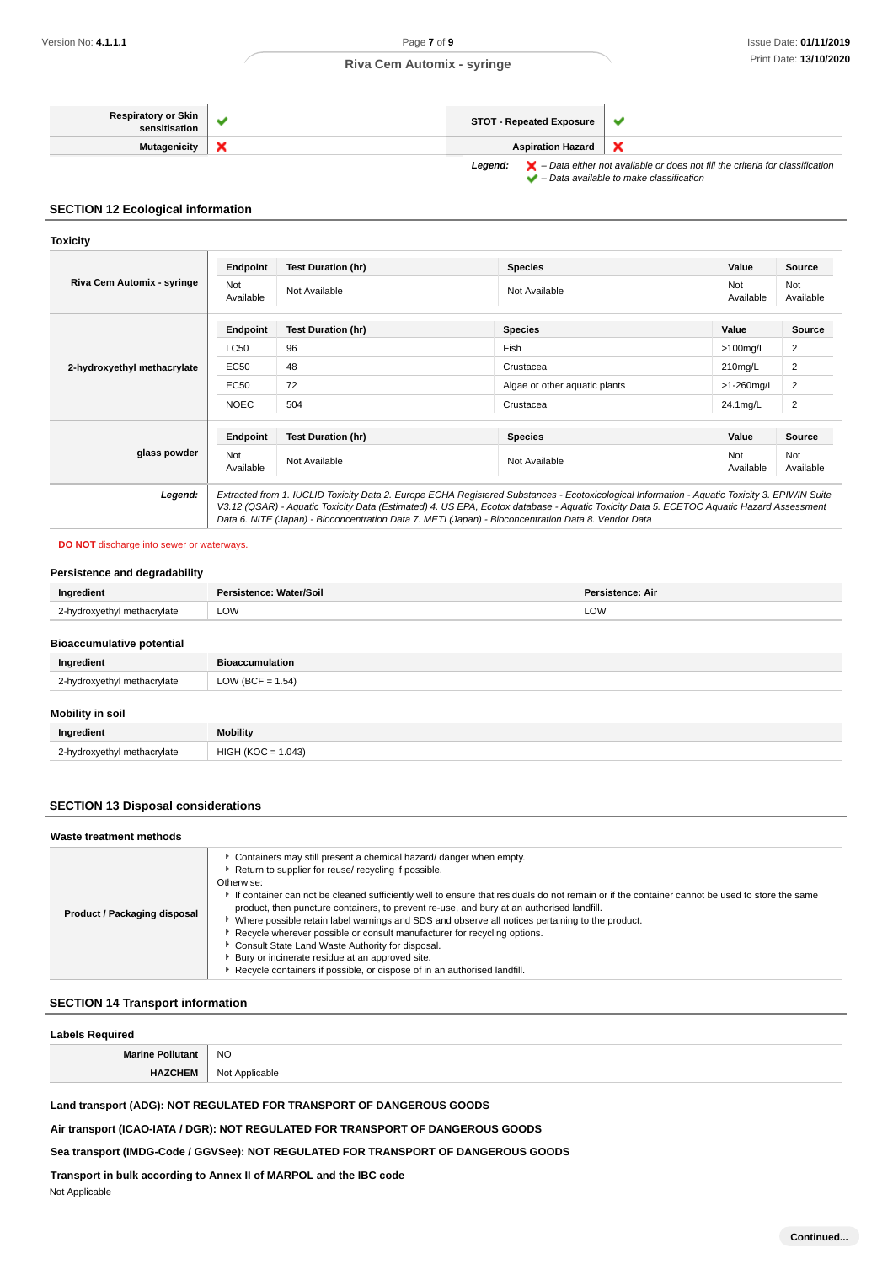| <b>Respiratory or Skin</b><br>sensitisation | <b>STOT - Repeated Exposure</b>                                                                                                                                                |  |
|---------------------------------------------|--------------------------------------------------------------------------------------------------------------------------------------------------------------------------------|--|
| Mutagenicity                                | <b>Aspiration Hazard</b>                                                                                                                                                       |  |
|                                             | $\blacktriangleright$ - Data either not available or does not fill the criteria for classification<br>Leaend:<br>$\blacktriangleright$ - Data available to make classification |  |

### **SECTION 12 Ecological information**

#### **Toxicity**

| Riva Cem Automix - syringe  | Endpoint                | <b>Test Duration (hr)</b>                                                                                                                                                                                                                                                                                                                                                                       | <b>Species</b>                | Value            | Source           |
|-----------------------------|-------------------------|-------------------------------------------------------------------------------------------------------------------------------------------------------------------------------------------------------------------------------------------------------------------------------------------------------------------------------------------------------------------------------------------------|-------------------------------|------------------|------------------|
|                             | <b>Not</b><br>Available | Not Available                                                                                                                                                                                                                                                                                                                                                                                   | Not Available                 | Not<br>Available | Not<br>Available |
|                             | Endpoint                | <b>Test Duration (hr)</b>                                                                                                                                                                                                                                                                                                                                                                       | <b>Species</b>                | Value            | <b>Source</b>    |
|                             | <b>LC50</b>             | 96                                                                                                                                                                                                                                                                                                                                                                                              | Fish                          | $>100$ mg/L      | 2                |
| 2-hydroxyethyl methacrylate | EC50                    | 48                                                                                                                                                                                                                                                                                                                                                                                              | Crustacea                     | $210$ mg/L       | $\overline{2}$   |
|                             | EC50                    | 72                                                                                                                                                                                                                                                                                                                                                                                              | Algae or other aquatic plants | >1-260mg/L       | $\overline{2}$   |
|                             | <b>NOEC</b>             | 504                                                                                                                                                                                                                                                                                                                                                                                             | Crustacea                     | 24.1mg/L         | $\overline{2}$   |
|                             | Endpoint                | <b>Test Duration (hr)</b>                                                                                                                                                                                                                                                                                                                                                                       | <b>Species</b>                | Value            | Source           |
| glass powder                | Not<br>Available        | Not Available                                                                                                                                                                                                                                                                                                                                                                                   | Not Available                 | Not<br>Available | Not<br>Available |
| Legend:                     |                         | Extracted from 1. IUCLID Toxicity Data 2. Europe ECHA Registered Substances - Ecotoxicological Information - Aquatic Toxicity 3. EPIWIN Suite<br>V3.12 (QSAR) - Aquatic Toxicity Data (Estimated) 4. US EPA, Ecotox database - Aquatic Toxicity Data 5. ECETOC Aquatic Hazard Assessment<br>Data 6. NITE (Japan) - Bioconcentration Data 7. METI (Japan) - Bioconcentration Data 8. Vendor Data |                               |                  |                  |

### **DO NOT** discharge into sewer or waterways.

## **Persistence and degradability**

| Ingredient                              | Persistence: Water/Soil | <b>Persistence: Air</b> |  |
|-----------------------------------------|-------------------------|-------------------------|--|
| 2-hydroxyethyl methacrylate             | LOW<br>LOW              |                         |  |
| <b>Bioaccumulative potential</b>        |                         |                         |  |
| Ingredient                              | <b>Bioaccumulation</b>  |                         |  |
| 2-hydroxyethyl methacrylate             | LOW (BCF = $1.54$ )     |                         |  |
| <b>Administration of Administration</b> |                         |                         |  |

### **Mobility in soil**

| Ingredient                  | <b>Mobility</b>    |
|-----------------------------|--------------------|
| 2-hvdroxvethyl methacrylate | HIGH (KOO<br>(043) |

# **SECTION 13 Disposal considerations**

# **Waste treatment methods**

| Product / Packaging disposal | Containers may still present a chemical hazard/ danger when empty.<br>Return to supplier for reuse/ recycling if possible.<br>Otherwise:<br>If container can not be cleaned sufficiently well to ensure that residuals do not remain or if the container cannot be used to store the same<br>product, then puncture containers, to prevent re-use, and bury at an authorised landfill.<br>Where possible retain label warnings and SDS and observe all notices pertaining to the product.<br>Recycle wherever possible or consult manufacturer for recycling options.<br>Consult State Land Waste Authority for disposal.<br>Bury or incinerate residue at an approved site.<br>Recycle containers if possible, or dispose of in an authorised landfill. |
|------------------------------|----------------------------------------------------------------------------------------------------------------------------------------------------------------------------------------------------------------------------------------------------------------------------------------------------------------------------------------------------------------------------------------------------------------------------------------------------------------------------------------------------------------------------------------------------------------------------------------------------------------------------------------------------------------------------------------------------------------------------------------------------------|

# **SECTION 14 Transport information**

| <b>Labels Required</b>  |                |
|-------------------------|----------------|
| <b>Marine Pollutant</b> | <b>NO</b>      |
| <b>HAZCHEM</b>          | Not Applicable |

# **Land transport (ADG): NOT REGULATED FOR TRANSPORT OF DANGEROUS GOODS**

**Air transport (ICAO-IATA / DGR): NOT REGULATED FOR TRANSPORT OF DANGEROUS GOODS**

# **Sea transport (IMDG-Code / GGVSee): NOT REGULATED FOR TRANSPORT OF DANGEROUS GOODS**

**Transport in bulk according to Annex II of MARPOL and the IBC code**

Not Applicable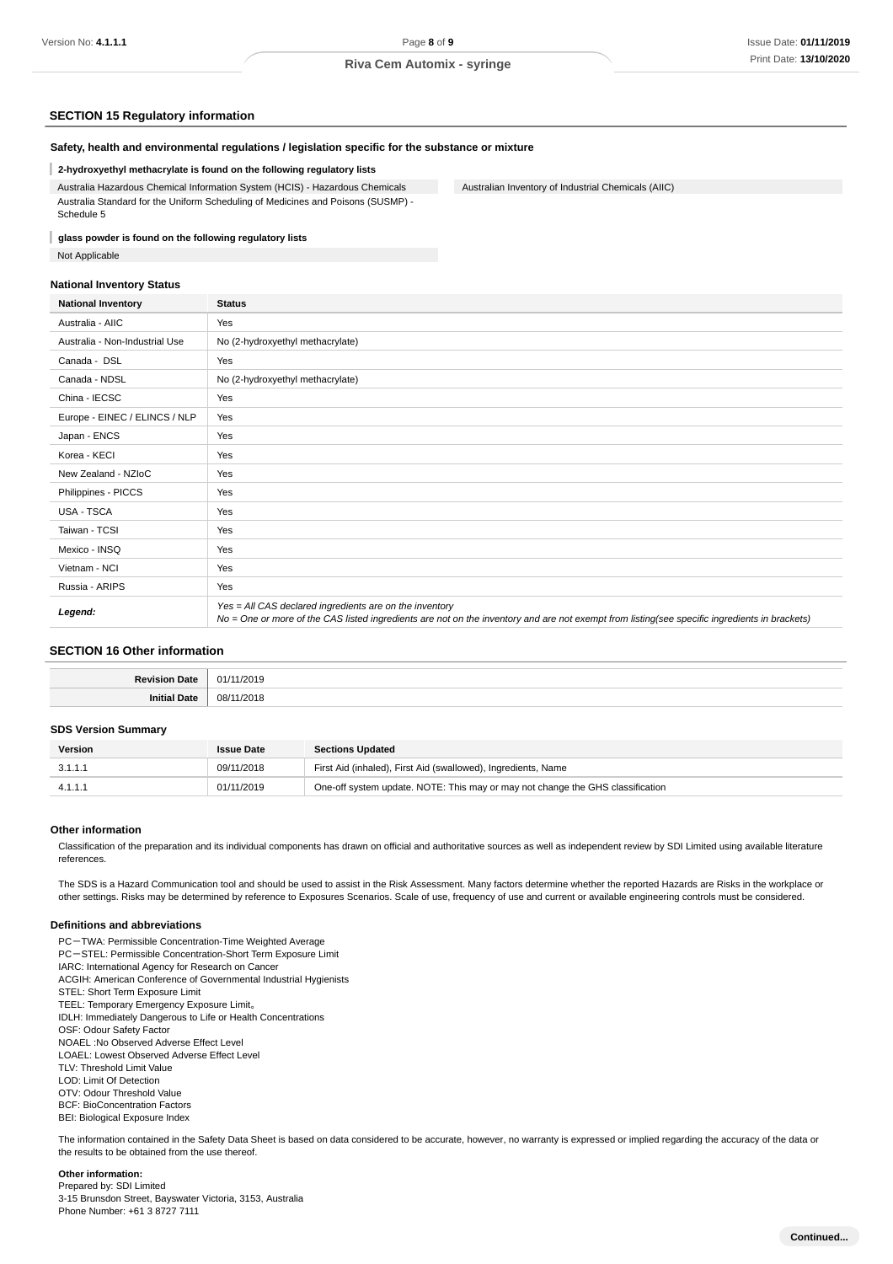Australian Inventory of Industrial Chemicals (AIIC)

### **SECTION 15 Regulatory information**

### **Safety, health and environmental regulations / legislation specific for the substance or mixture**

#### **2-hydroxyethyl methacrylate is found on the following regulatory lists**

Australia Hazardous Chemical Information System (HCIS) - Hazardous Chemicals Australia Standard for the Uniform Scheduling of Medicines and Poisons (SUSMP) - Schedule 5

#### I **glass powder is found on the following regulatory lists**

Not Applicable

#### **National Inventory Status**

| <b>National Inventory</b>      | <b>Status</b>                                                                                                                                                                                            |
|--------------------------------|----------------------------------------------------------------------------------------------------------------------------------------------------------------------------------------------------------|
| Australia - AIIC               | Yes                                                                                                                                                                                                      |
| Australia - Non-Industrial Use | No (2-hydroxyethyl methacrylate)                                                                                                                                                                         |
| Canada - DSL                   | Yes                                                                                                                                                                                                      |
| Canada - NDSL                  | No (2-hydroxyethyl methacrylate)                                                                                                                                                                         |
| China - IECSC                  | Yes                                                                                                                                                                                                      |
| Europe - EINEC / ELINCS / NLP  | Yes                                                                                                                                                                                                      |
| Japan - ENCS                   | Yes                                                                                                                                                                                                      |
| Korea - KECI                   | Yes                                                                                                                                                                                                      |
| New Zealand - NZIoC            | Yes                                                                                                                                                                                                      |
| Philippines - PICCS            | Yes                                                                                                                                                                                                      |
| USA - TSCA                     | Yes                                                                                                                                                                                                      |
| Taiwan - TCSI                  | Yes                                                                                                                                                                                                      |
| Mexico - INSQ                  | Yes                                                                                                                                                                                                      |
| Vietnam - NCI                  | Yes                                                                                                                                                                                                      |
| Russia - ARIPS                 | Yes                                                                                                                                                                                                      |
| Legend:                        | Yes = All CAS declared ingredients are on the inventory<br>No = One or more of the CAS listed ingredients are not on the inventory and are not exempt from listing(see specific ingredients in brackets) |

# **SECTION 16 Other information**

| Dovie        | /2019             |
|--------------|-------------------|
| <b>Date</b>  | -01               |
| Init<br>Jate | 08/<br>/2018<br>. |

#### **SDS Version Summary**

| Version | <b>Issue Date</b> | <b>Sections Updated</b>                                                        |
|---------|-------------------|--------------------------------------------------------------------------------|
| 3.1.1.1 | 09/11/2018        | First Aid (inhaled), First Aid (swallowed), Ingredients, Name                  |
|         | 01/11/2019        | One-off system update. NOTE: This may or may not change the GHS classification |

#### **Other information**

Classification of the preparation and its individual components has drawn on official and authoritative sources as well as independent review by SDI Limited using available literature references

The SDS is a Hazard Communication tool and should be used to assist in the Risk Assessment. Many factors determine whether the reported Hazards are Risks in the workplace or other settings. Risks may be determined by reference to Exposures Scenarios. Scale of use, frequency of use and current or available engineering controls must be considered.

#### **Definitions and abbreviations**

PC-TWA: Permissible Concentration-Time Weighted Average PC-STEL: Permissible Concentration-Short Term Exposure Limit IARC: International Agency for Research on Cancer ACGIH: American Conference of Governmental Industrial Hygienists STEL: Short Term Exposure Limit TEEL: Temporary Emergency Exposure Limit。 IDLH: Immediately Dangerous to Life or Health Concentrations OSF: Odour Safety Factor NOAEL :No Observed Adverse Effect Level LOAEL: Lowest Observed Adverse Effect Level TLV: Threshold Limit Value LOD: Limit Of Detection OTV: Odour Threshold Value BCF: BioConcentration Factors BEI: Biological Exposure Index

The information contained in the Safety Data Sheet is based on data considered to be accurate, however, no warranty is expressed or implied regarding the accuracy of the data or the results to be obtained from the use thereof.

### **Other information:**

Prepared by: SDI Limited 3-15 Brunsdon Street, Bayswater Victoria, 3153, Australia Phone Number: +61 3 8727 7111